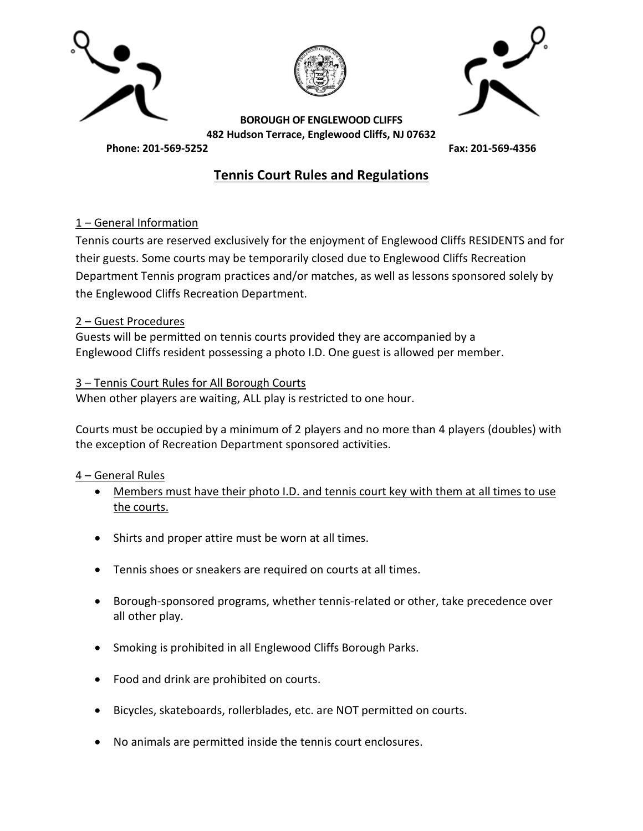





**BOROUGH OF ENGLEWOOD CLIFFS 482 Hudson Terrace, Englewood Cliffs, NJ 07632**

**Phone: 201-569-5252 Fax: 201-569-4356**

# **Tennis Court Rules and Regulations**

## 1 – General Information

Tennis courts are reserved exclusively for the enjoyment of Englewood Cliffs RESIDENTS and for their guests. Some courts may be temporarily closed due to Englewood Cliffs Recreation Department Tennis program practices and/or matches, as well as lessons sponsored solely by the Englewood Cliffs Recreation Department.

#### 2 – Guest Procedures

Guests will be permitted on tennis courts provided they are accompanied by a Englewood Cliffs resident possessing a photo I.D. One guest is allowed per member.

## 3 – Tennis Court Rules for All Borough Courts

When other players are waiting, ALL play is restricted to one hour.

Courts must be occupied by a minimum of 2 players and no more than 4 players (doubles) with the exception of Recreation Department sponsored activities.

#### 4 – General Rules

- Members must have their photo I.D. and tennis court key with them at all times to use the courts.
- Shirts and proper attire must be worn at all times.
- Tennis shoes or sneakers are required on courts at all times.
- Borough-sponsored programs, whether tennis-related or other, take precedence over all other play.
- Smoking is prohibited in all Englewood Cliffs Borough Parks.
- Food and drink are prohibited on courts.
- Bicycles, skateboards, rollerblades, etc. are NOT permitted on courts.
- No animals are permitted inside the tennis court enclosures.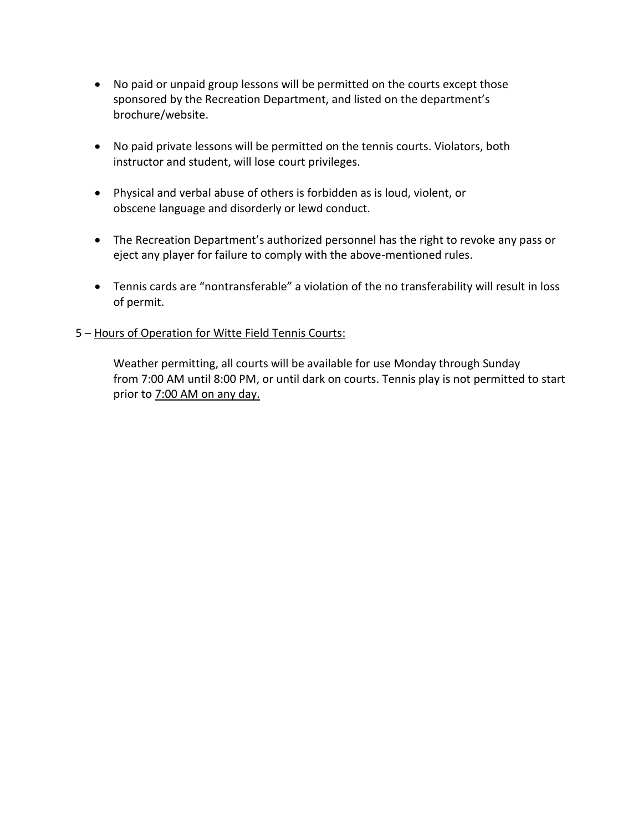- No paid or unpaid group lessons will be permitted on the courts except those sponsored by the Recreation Department, and listed on the department's brochure/website.
- No paid private lessons will be permitted on the tennis courts. Violators, both instructor and student, will lose court privileges.
- Physical and verbal abuse of others is forbidden as is loud, violent, or obscene language and disorderly or lewd conduct.
- The Recreation Department's authorized personnel has the right to revoke any pass or eject any player for failure to comply with the above-mentioned rules.
- Tennis cards are "nontransferable" a violation of the no transferability will result in loss of permit.

## 5 – Hours of Operation for Witte Field Tennis Courts:

Weather permitting, all courts will be available for use Monday through Sunday from 7:00 AM until 8:00 PM, or until dark on courts. Tennis play is not permitted to start prior to 7:00 AM on any day.